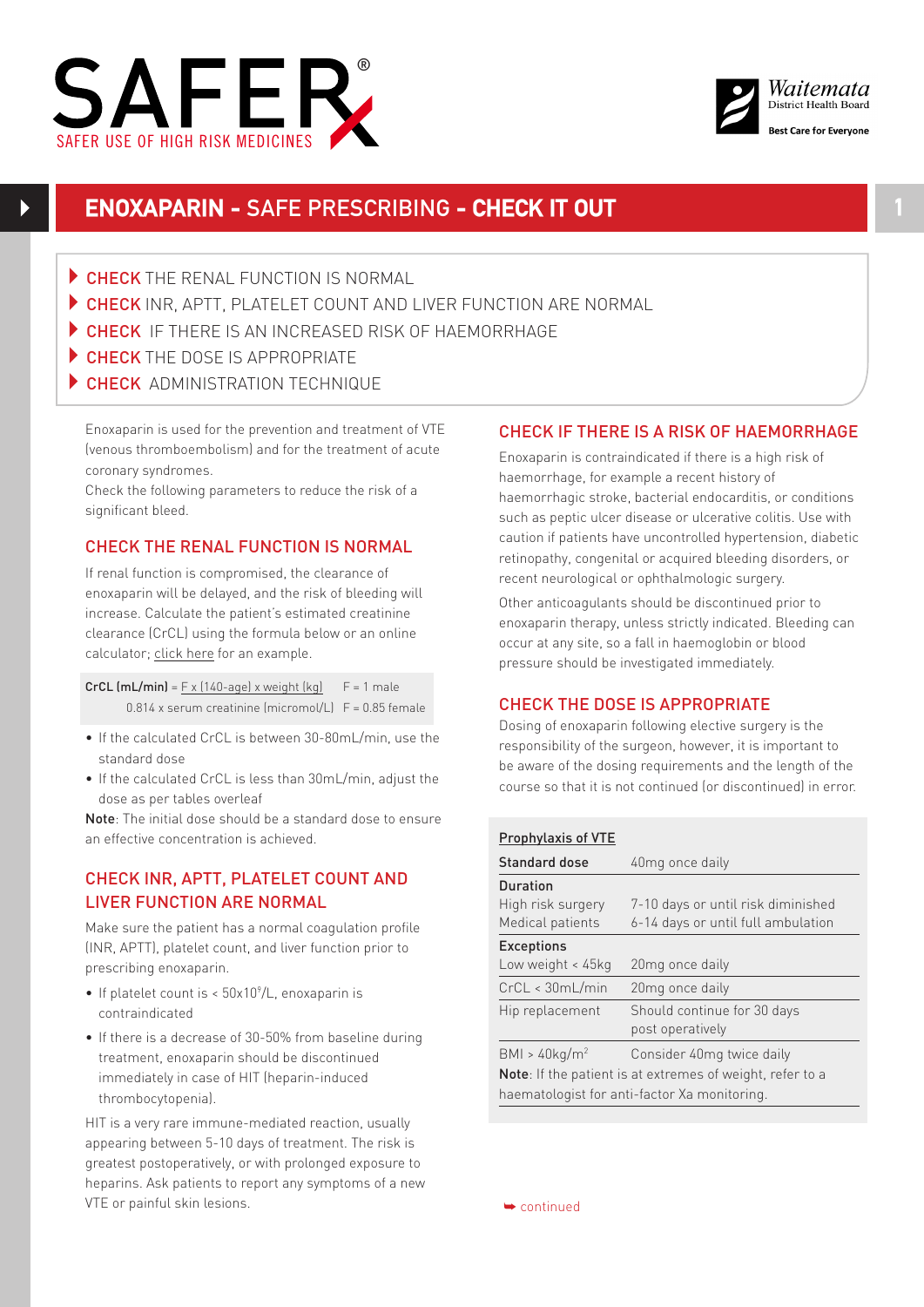



# **ENOXAPARIN -** SAFE PRESCRIBING **- CHECK IT OUT 1**

- CHECK THE RENAL FUNCTION IS NORMAL
- CHECK INR, APTT, PLATELET COUNT AND LIVER FUNCTION ARE NORMAL
- CHECK IF THERE IS AN INCREASED RISK OF HAEMORRHAGE
- $\triangleright$  CHECK THE DOSE IS APPROPRIATE
- CHECK ADMINISTRATION TECHNIQUE

Enoxaparin is used for the prevention and treatment of VTE (venous thromboembolism) and for the treatment of acute coronary syndromes.

Check the following parameters to reduce the risk of a significant bleed.

# CHECK THE RENAL FUNCTION IS NORMAL

If renal function is compromised, the clearance of enoxaparin will be delayed, and the risk of bleeding will increase. Calculate the patient's estimated creatinine clearance (CrCL) using the formula below or an online calculator; [click here](http://www.mdcalc.com/creatinine-clearance-cockcroft-gault-equation/) for an example.

CrCL  $(mL/min) = F \times (140 \text{-} 1)$  x weight  $(kq)$   $F = 1$  male  $0.814$  x serum creatinine (micromol/L)  $F = 0.85$  female

- If the calculated CrCL is between 30-80mL/min, use the standard dose
- If the calculated CrCL is less than 30mL/min, adjust the dose as per tables overleaf

Note: The initial dose should be a standard dose to ensure an effective concentration is achieved.

# CHECK INR, APTT, PLATELET COUNT AND LIVER FUNCTION ARE NORMAL

Make sure the patient has a normal coagulation profile (INR, APTT), platelet count, and liver function prior to prescribing enoxaparin.

- If platelet count is  $<$  50x10 $^{\circ}/$ L, enoxaparin is contraindicated
- If there is a decrease of 30-50% from baseline during treatment, enoxaparin should be discontinued immediately in case of HIT (heparin-induced thrombocytopenia).

HIT is a very rare immune-mediated reaction, usually appearing between 5-10 days of treatment. The risk is greatest postoperatively, or with prolonged exposure to heparins. Ask patients to report any symptoms of a new VTE or painful skin lesions.

### CHECK IF THERE IS A RISK OF HAEMORRHAGE

Enoxaparin is contraindicated if there is a high risk of haemorrhage, for example a recent history of haemorrhagic stroke, bacterial endocarditis, or conditions such as peptic ulcer disease or ulcerative colitis. Use with caution if patients have uncontrolled hypertension, diabetic retinopathy, congenital or acquired bleeding disorders, or recent neurological or ophthalmologic surgery.

Other anticoagulants should be discontinued prior to enoxaparin therapy, unless strictly indicated. Bleeding can occur at any site, so a fall in haemoglobin or blood pressure should be investigated immediately.

## CHECK THE DOSE IS APPROPRIATE

Dosing of enoxaparin following elective surgery is the responsibility of the surgeon, however, it is important to be aware of the dosing requirements and the length of the course so that it is not continued (or discontinued) in error.

#### Prophylaxis of VTE

| Standard dose                                                     | 40 <sub>mg</sub> once daily        |  |
|-------------------------------------------------------------------|------------------------------------|--|
| <b>Duration</b>                                                   |                                    |  |
| High risk surgery                                                 | 7-10 days or until risk diminished |  |
| Medical patients                                                  | 6-14 days or until full ambulation |  |
| <b>Exceptions</b>                                                 |                                    |  |
| Low weight $<$ 45 $kg$                                            | 20 <sub>mg</sub> once daily        |  |
| CrCL < 30mL/min                                                   | 20mg once daily                    |  |
| Hip replacement                                                   | Should continue for 30 days        |  |
|                                                                   | post operatively                   |  |
| BM > 40kg/m <sup>2</sup>                                          | Consider 40mg twice daily          |  |
| <b>Note</b> : If the patient is at extremes of weight, refer to a |                                    |  |
| haematologist for anti-factor Xa monitoring.                      |                                    |  |

➥ continued